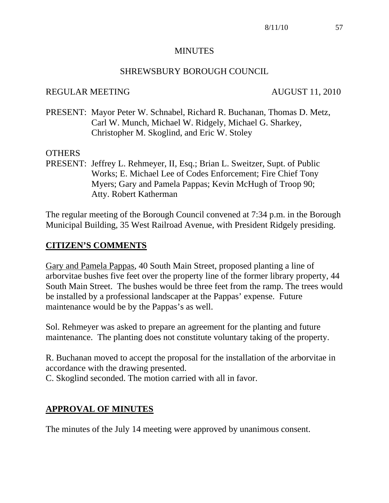#### MINUTES

### SHREWSBURY BOROUGH COUNCIL

#### REGULAR MEETING AUGUST 11, 2010

PRESENT: Mayor Peter W. Schnabel, Richard R. Buchanan, Thomas D. Metz, Carl W. Munch, Michael W. Ridgely, Michael G. Sharkey, Christopher M. Skoglind, and Eric W. Stoley

#### OTHERS

PRESENT: Jeffrey L. Rehmeyer, II, Esq.; Brian L. Sweitzer, Supt. of Public Works; E. Michael Lee of Codes Enforcement; Fire Chief Tony Myers; Gary and Pamela Pappas; Kevin McHugh of Troop 90; Atty. Robert Katherman

The regular meeting of the Borough Council convened at 7:34 p.m. in the Borough Municipal Building, 35 West Railroad Avenue, with President Ridgely presiding.

## **CITIZEN'S COMMENTS**

Gary and Pamela Pappas, 40 South Main Street, proposed planting a line of arborvitae bushes five feet over the property line of the former library property, 44 South Main Street. The bushes would be three feet from the ramp. The trees would be installed by a professional landscaper at the Pappas' expense. Future maintenance would be by the Pappas's as well.

Sol. Rehmeyer was asked to prepare an agreement for the planting and future maintenance. The planting does not constitute voluntary taking of the property.

R. Buchanan moved to accept the proposal for the installation of the arborvitae in accordance with the drawing presented.

C. Skoglind seconded. The motion carried with all in favor.

# **APPROVAL OF MINUTES**

The minutes of the July 14 meeting were approved by unanimous consent.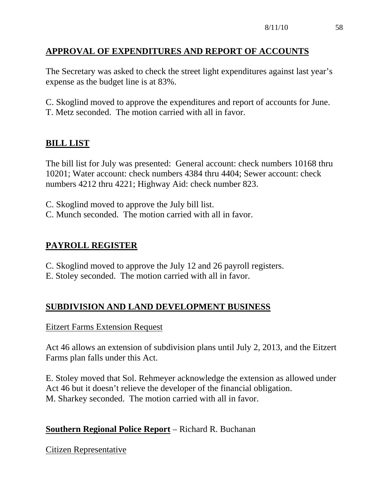# **APPROVAL OF EXPENDITURES AND REPORT OF ACCOUNTS**

The Secretary was asked to check the street light expenditures against last year's expense as the budget line is at 83%.

C. Skoglind moved to approve the expenditures and report of accounts for June. T. Metz seconded. The motion carried with all in favor.

# **BILL LIST**

The bill list for July was presented: General account: check numbers 10168 thru 10201; Water account: check numbers 4384 thru 4404; Sewer account: check numbers 4212 thru 4221; Highway Aid: check number 823.

- C. Skoglind moved to approve the July bill list.
- C. Munch seconded. The motion carried with all in favor.

# **PAYROLL REGISTER**

- C. Skoglind moved to approve the July 12 and 26 payroll registers.
- E. Stoley seconded. The motion carried with all in favor.

# **SUBDIVISION AND LAND DEVELOPMENT BUSINESS**

## Eitzert Farms Extension Request

Act 46 allows an extension of subdivision plans until July 2, 2013, and the Eitzert Farms plan falls under this Act.

E. Stoley moved that Sol. Rehmeyer acknowledge the extension as allowed under Act 46 but it doesn't relieve the developer of the financial obligation. M. Sharkey seconded. The motion carried with all in favor.

# **Southern Regional Police Report** – Richard R. Buchanan

Citizen Representative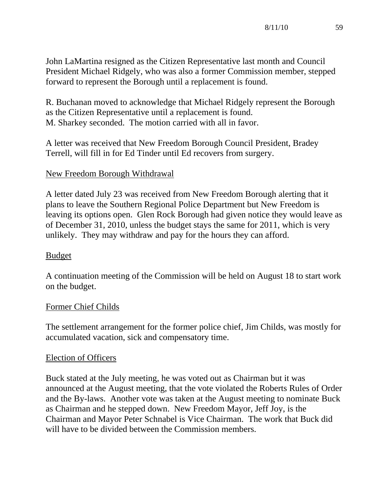John LaMartina resigned as the Citizen Representative last month and Council President Michael Ridgely, who was also a former Commission member, stepped forward to represent the Borough until a replacement is found.

R. Buchanan moved to acknowledge that Michael Ridgely represent the Borough as the Citizen Representative until a replacement is found. M. Sharkey seconded. The motion carried with all in favor.

A letter was received that New Freedom Borough Council President, Bradey Terrell, will fill in for Ed Tinder until Ed recovers from surgery.

## New Freedom Borough Withdrawal

A letter dated July 23 was received from New Freedom Borough alerting that it plans to leave the Southern Regional Police Department but New Freedom is leaving its options open. Glen Rock Borough had given notice they would leave as of December 31, 2010, unless the budget stays the same for 2011, which is very unlikely. They may withdraw and pay for the hours they can afford.

## Budget

A continuation meeting of the Commission will be held on August 18 to start work on the budget.

## Former Chief Childs

The settlement arrangement for the former police chief, Jim Childs, was mostly for accumulated vacation, sick and compensatory time.

## Election of Officers

Buck stated at the July meeting, he was voted out as Chairman but it was announced at the August meeting, that the vote violated the Roberts Rules of Order and the By-laws. Another vote was taken at the August meeting to nominate Buck as Chairman and he stepped down. New Freedom Mayor, Jeff Joy, is the Chairman and Mayor Peter Schnabel is Vice Chairman. The work that Buck did will have to be divided between the Commission members.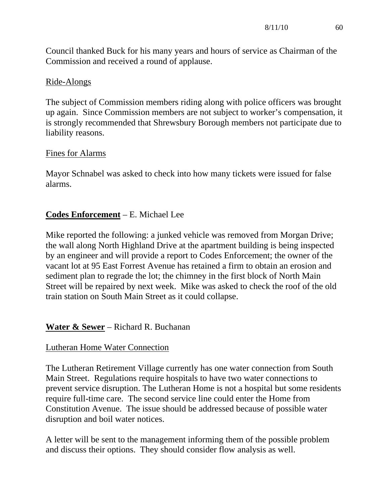Council thanked Buck for his many years and hours of service as Chairman of the Commission and received a round of applause.

### Ride-Alongs

The subject of Commission members riding along with police officers was brought up again. Since Commission members are not subject to worker's compensation, it is strongly recommended that Shrewsbury Borough members not participate due to liability reasons.

#### Fines for Alarms

Mayor Schnabel was asked to check into how many tickets were issued for false alarms.

## **Codes Enforcement** – E. Michael Lee

Mike reported the following: a junked vehicle was removed from Morgan Drive; the wall along North Highland Drive at the apartment building is being inspected by an engineer and will provide a report to Codes Enforcement; the owner of the vacant lot at 95 East Forrest Avenue has retained a firm to obtain an erosion and sediment plan to regrade the lot; the chimney in the first block of North Main Street will be repaired by next week. Mike was asked to check the roof of the old train station on South Main Street as it could collapse.

## **Water & Sewer** – Richard R. Buchanan

## Lutheran Home Water Connection

The Lutheran Retirement Village currently has one water connection from South Main Street. Regulations require hospitals to have two water connections to prevent service disruption. The Lutheran Home is not a hospital but some residents require full-time care. The second service line could enter the Home from Constitution Avenue. The issue should be addressed because of possible water disruption and boil water notices.

A letter will be sent to the management informing them of the possible problem and discuss their options. They should consider flow analysis as well.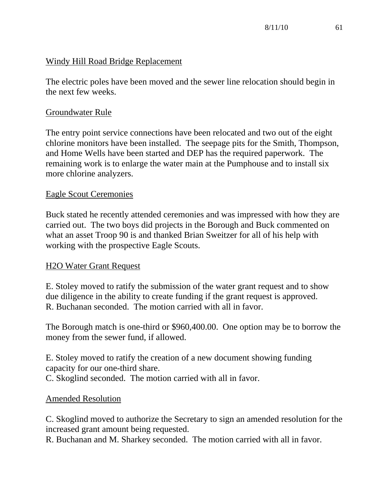## Windy Hill Road Bridge Replacement

The electric poles have been moved and the sewer line relocation should begin in the next few weeks.

### Groundwater Rule

The entry point service connections have been relocated and two out of the eight chlorine monitors have been installed. The seepage pits for the Smith, Thompson, and Home Wells have been started and DEP has the required paperwork. The remaining work is to enlarge the water main at the Pumphouse and to install six more chlorine analyzers.

#### Eagle Scout Ceremonies

Buck stated he recently attended ceremonies and was impressed with how they are carried out. The two boys did projects in the Borough and Buck commented on what an asset Troop 90 is and thanked Brian Sweitzer for all of his help with working with the prospective Eagle Scouts.

## H2O Water Grant Request

E. Stoley moved to ratify the submission of the water grant request and to show due diligence in the ability to create funding if the grant request is approved. R. Buchanan seconded. The motion carried with all in favor.

The Borough match is one-third or \$960,400.00. One option may be to borrow the money from the sewer fund, if allowed.

E. Stoley moved to ratify the creation of a new document showing funding capacity for our one-third share.

C. Skoglind seconded. The motion carried with all in favor.

## Amended Resolution

C. Skoglind moved to authorize the Secretary to sign an amended resolution for the increased grant amount being requested.

R. Buchanan and M. Sharkey seconded. The motion carried with all in favor.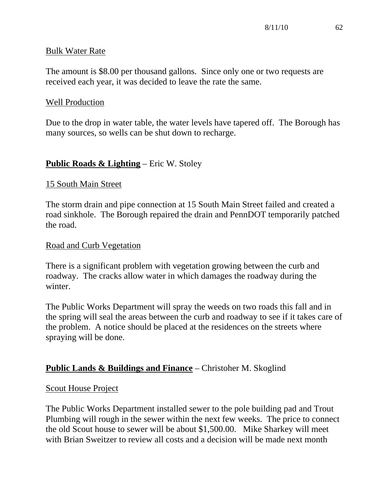### Bulk Water Rate

The amount is \$8.00 per thousand gallons. Since only one or two requests are received each year, it was decided to leave the rate the same.

#### Well Production

Due to the drop in water table, the water levels have tapered off. The Borough has many sources, so wells can be shut down to recharge.

## **Public Roads & Lighting** – Eric W. Stoley

#### 15 South Main Street

The storm drain and pipe connection at 15 South Main Street failed and created a road sinkhole. The Borough repaired the drain and PennDOT temporarily patched the road.

#### Road and Curb Vegetation

There is a significant problem with vegetation growing between the curb and roadway. The cracks allow water in which damages the roadway during the winter.

The Public Works Department will spray the weeds on two roads this fall and in the spring will seal the areas between the curb and roadway to see if it takes care of the problem. A notice should be placed at the residences on the streets where spraying will be done.

# **Public Lands & Buildings and Finance** – Christoher M. Skoglind

#### Scout House Project

The Public Works Department installed sewer to the pole building pad and Trout Plumbing will rough in the sewer within the next few weeks. The price to connect the old Scout house to sewer will be about \$1,500.00. Mike Sharkey will meet with Brian Sweitzer to review all costs and a decision will be made next month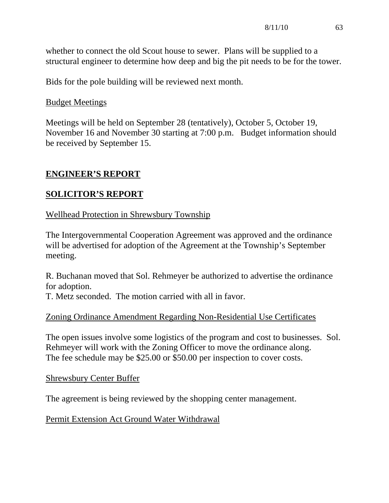whether to connect the old Scout house to sewer. Plans will be supplied to a structural engineer to determine how deep and big the pit needs to be for the tower.

Bids for the pole building will be reviewed next month.

## Budget Meetings

Meetings will be held on September 28 (tentatively), October 5, October 19, November 16 and November 30 starting at 7:00 p.m. Budget information should be received by September 15.

# **ENGINEER'S REPORT**

# **SOLICITOR'S REPORT**

# Wellhead Protection in Shrewsbury Township

The Intergovernmental Cooperation Agreement was approved and the ordinance will be advertised for adoption of the Agreement at the Township's September meeting.

R. Buchanan moved that Sol. Rehmeyer be authorized to advertise the ordinance for adoption.

T. Metz seconded. The motion carried with all in favor.

# Zoning Ordinance Amendment Regarding Non-Residential Use Certificates

The open issues involve some logistics of the program and cost to businesses. Sol. Rehmeyer will work with the Zoning Officer to move the ordinance along. The fee schedule may be \$25.00 or \$50.00 per inspection to cover costs.

## Shrewsbury Center Buffer

The agreement is being reviewed by the shopping center management.

Permit Extension Act Ground Water Withdrawal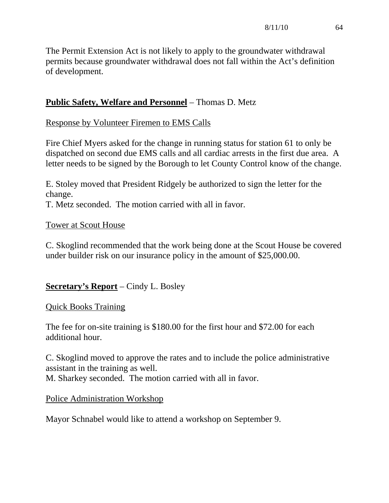The Permit Extension Act is not likely to apply to the groundwater withdrawal permits because groundwater withdrawal does not fall within the Act's definition of development.

# **Public Safety, Welfare and Personnel** – Thomas D. Metz

## Response by Volunteer Firemen to EMS Calls

Fire Chief Myers asked for the change in running status for station 61 to only be dispatched on second due EMS calls and all cardiac arrests in the first due area. A letter needs to be signed by the Borough to let County Control know of the change.

E. Stoley moved that President Ridgely be authorized to sign the letter for the change.

T. Metz seconded. The motion carried with all in favor.

## Tower at Scout House

C. Skoglind recommended that the work being done at the Scout House be covered under builder risk on our insurance policy in the amount of \$25,000.00.

# **Secretary's Report** – Cindy L. Bosley

# Quick Books Training

The fee for on-site training is \$180.00 for the first hour and \$72.00 for each additional hour.

C. Skoglind moved to approve the rates and to include the police administrative assistant in the training as well. M. Sharkey seconded. The motion carried with all in favor.

## Police Administration Workshop

Mayor Schnabel would like to attend a workshop on September 9.